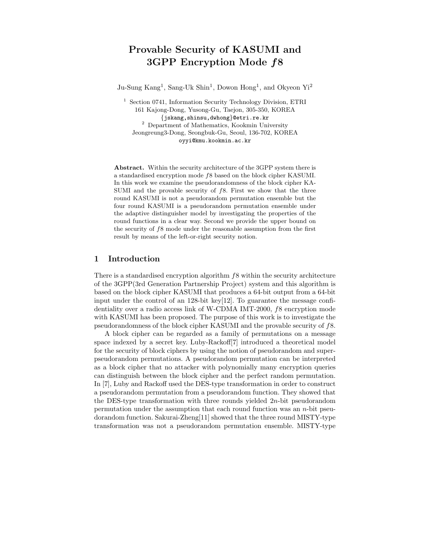# Provable Security of KASUMI and 3GPP Encryption Mode f8

Ju-Sung Kang<sup>1</sup>, Sang-Uk Shin<sup>1</sup>, Dowon Hong<sup>1</sup>, and Okyeon Yi<sup>2</sup>

<sup>1</sup> Section 0741, Information Security Technology Division, ETRI 161 Kajong-Dong, Yusong-Gu, Taejon, 305-350, KOREA {jskang,shinsu,dwhong}@etri.re.kr <sup>2</sup> Department of Mathematics, Kookmin University Jeongreung3-Dong, Seongbuk-Gu, Seoul, 136-702, KOREA oyyi@kmu.kookmin.ac.kr

Abstract. Within the security architecture of the 3GPP system there is a standardised encryption mode f8 based on the block cipher KASUMI. In this work we examine the pseudorandomness of the block cipher KA-SUMI and the provable security of  $f$ 8. First we show that the three round KASUMI is not a pseudorandom permutation ensemble but the four round KASUMI is a pseudorandom permutation ensemble under the adaptive distinguisher model by investigating the properties of the round functions in a clear way. Second we provide the upper bound on the security of f8 mode under the reasonable assumption from the first result by means of the left-or-right security notion.

## 1 Introduction

There is a standardised encryption algorithm  $f8$  within the security architecture of the 3GPP(3rd Generation Partnership Project) system and this algorithm is based on the block cipher KASUMI that produces a 64-bit output from a 64-bit input under the control of an  $128$ -bit key[12]. To guarantee the message confidentiality over a radio access link of W-CDMA IMT-2000, f8 encryption mode with KASUMI has been proposed. The purpose of this work is to investigate the pseudorandomness of the block cipher KASUMI and the provable security of f8.

A block cipher can be regarded as a family of permutations on a message space indexed by a secret key. Luby-Rackoff[7] introduced a theoretical model for the security of block ciphers by using the notion of pseudorandom and superpseudorandom permutations. A pseudorandom permutation can be interpreted as a block cipher that no attacker with polynomially many encryption queries can distinguish between the block cipher and the perfect random permutation. In [7], Luby and Rackoff used the DES-type transformation in order to construct a pseudorandom permutation from a pseudorandom function. They showed that the DES-type transformation with three rounds yielded  $2n$ -bit pseudorandom permutation under the assumption that each round function was an  $n$ -bit pseudorandom function. Sakurai-Zheng[11] showed that the three round MISTY-type transformation was not a pseudorandom permutation ensemble. MISTY-type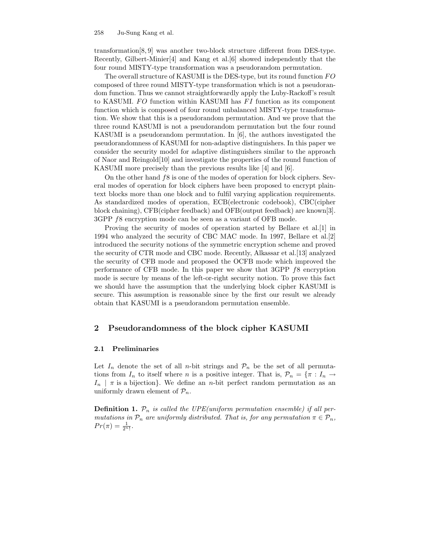transformation[8, 9] was another two-block structure different from DES-type. Recently, Gilbert-Minier[4] and Kang et al.[6] showed independently that the four round MISTY-type transformation was a pseudorandom permutation.

The overall structure of KASUMI is the DES-type, but its round function FO composed of three round MISTY-type transformation which is not a pseudorandom function. Thus we cannot straightforwardly apply the Luby-Rackoff's result to KASUMI. FO function within KASUMI has FI function as its component function which is composed of four round unbalanced MISTY-type transformation. We show that this is a pseudorandom permutation. And we prove that the three round KASUMI is not a pseudorandom permutation but the four round KASUMI is a pseudorandom permutation. In [6], the authors investigated the pseudorandomness of KASUMI for non-adaptive distinguishers. In this paper we consider the security model for adaptive distinguishers similar to the approach of Naor and Reingold[10] and investigate the properties of the round function of KASUMI more precisely than the previous results like [4] and [6].

On the other hand f8 is one of the modes of operation for block ciphers. Several modes of operation for block ciphers have been proposed to encrypt plaintext blocks more than one block and to fulfil varying application requirements. As standardized modes of operation, ECB(electronic codebook), CBC(cipher block chaining), CFB(cipher feedback) and OFB(output feedback) are known[3]. 3GPP f8 encryption mode can be seen as a variant of OFB mode.

Proving the security of modes of operation started by Bellare et al.[1] in 1994 who analyzed the security of CBC MAC mode. In 1997, Bellare et al.[2] introduced the security notions of the symmetric encryption scheme and proved the security of CTR mode and CBC mode. Recently, Alkassar et al.[13] analyzed the security of CFB mode and proposed the OCFB mode which improved the performance of CFB mode. In this paper we show that 3GPP f8 encryption mode is secure by means of the left-or-right security notion. To prove this fact we should have the assumption that the underlying block cipher KASUMI is secure. This assumption is reasonable since by the first our result we already obtain that KASUMI is a pseudorandom permutation ensemble.

## 2 Pseudorandomness of the block cipher KASUMI

### 2.1 Preliminaries

Let  $I_n$  denote the set of all n-bit strings and  $\mathcal{P}_n$  be the set of all permutations from  $I_n$  to itself where n is a positive integer. That is,  $\mathcal{P}_n = \{\pi : I_n \to I_n\}$  $I_n$  |  $\pi$  is a bijection}. We define an *n*-bit perfect random permutation as an uniformly drawn element of  $\mathcal{P}_n$ .

**Definition 1.**  $\mathcal{P}_n$  is called the UPE(uniform permutation ensemble) if all permutations in  $\mathcal{P}_n$  are uniformly distributed. That is, for any permutation  $\pi \in \mathcal{P}_n$ ,  $Pr(\pi) = \frac{1}{2^{n}!}$ .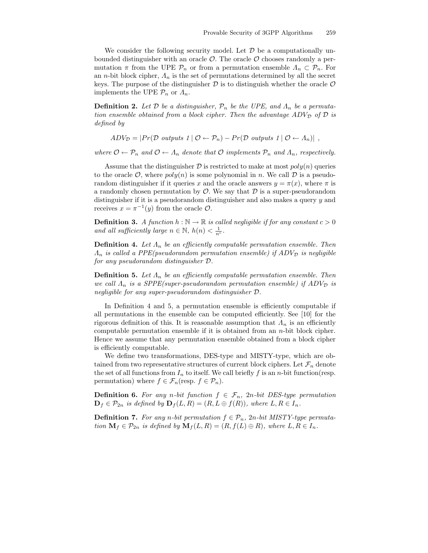We consider the following security model. Let  $\mathcal D$  be a computationally unbounded distinguisher with an oracle  $\mathcal{O}$ . The oracle  $\mathcal{O}$  chooses randomly a permutation  $\pi$  from the UPE  $\mathcal{P}_n$  or from a permutation ensemble  $\Lambda_n \subset \mathcal{P}_n$ . For an *n*-bit block cipher,  $\Lambda_n$  is the set of permutations determined by all the secret keys. The purpose of the distinguisher  $\mathcal D$  is to distinguish whether the oracle  $\mathcal O$ implements the UPE  $\mathcal{P}_n$  or  $\Lambda_n$ .

**Definition 2.** Let  $\mathcal{D}$  be a distinguisher,  $\mathcal{P}_n$  be the UPE, and  $\Lambda_n$  be a permutation ensemble obtained from a block cipher. Then the advantage  $ADV_D$  of  $D$  is defined by

$$
ADV_{\mathcal{D}} = |Pr(\mathcal{D} \text{ outputs } 1 | \mathcal{O} \leftarrow \mathcal{P}_n) - Pr(\mathcal{D} \text{ outputs } 1 | \mathcal{O} \leftarrow \Lambda_n)|,
$$

where  $\mathcal{O} \leftarrow \mathcal{P}_n$  and  $\mathcal{O} \leftarrow \Lambda_n$  denote that  $\mathcal{O}$  implements  $\mathcal{P}_n$  and  $\Lambda_n$ , respectively.

Assume that the distinguisher  $\mathcal D$  is restricted to make at most  $poly(n)$  queries to the oracle  $\mathcal{O}$ , where  $poly(n)$  is some polynomial in n. We call  $\mathcal D$  is a pseudorandom distinguisher if it queries x and the oracle answers  $y = \pi(x)$ , where  $\pi$  is a randomly chosen permutation by  $\mathcal{O}$ . We say that  $\mathcal{D}$  is a super-pseudorandom distinguisher if it is a pseudorandom distinguisher and also makes a query y and receives  $x = \pi^{-1}(y)$  from the oracle  $\mathcal{O}$ .

**Definition 3.** A function  $h : \mathbb{N} \to \mathbb{R}$  is called negligible if for any constant  $c > 0$ and all sufficiently large  $n \in \mathbb{N}$ ,  $h(n) < \frac{1}{n^c}$ .

**Definition 4.** Let  $\Lambda_n$  be an efficiently computable permutation ensemble. Then  $\Lambda_n$  is called a PPE(pseudorandom permutation ensemble) if  $ADV_{\mathcal{D}}$  is negligible for any pseudorandom distinguisher D.

**Definition 5.** Let  $\Lambda_n$  be an efficiently computable permutation ensemble. Then we call  $\Lambda_n$  is a SPPE(super-pseudorandom permutation ensemble) if  $ADV_{\mathcal{D}}$  is negligible for any super-pseudorandom distinguisher D.

In Definition 4 and 5, a permutation ensemble is efficiently computable if all permutations in the ensemble can be computed efficiently. See [10] for the rigorous definition of this. It is reasonable assumption that  $\Lambda_n$  is an efficiently computable permutation ensemble if it is obtained from an n-bit block cipher. Hence we assume that any permutation ensemble obtained from a block cipher is efficiently computable.

We define two transformations, DES-type and MISTY-type, which are obtained from two representative structures of current block ciphers. Let  $\mathcal{F}_n$  denote the set of all functions from  $I_n$  to itself. We call briefly f is an n-bit function(resp. permutation) where  $f \in \mathcal{F}_n$  (resp.  $f \in \mathcal{P}_n$ ).

**Definition 6.** For any n-bit function  $f \in \mathcal{F}_n$ , 2n-bit DES-type permutation  $\mathbf{D}_f \in \mathcal{P}_{2n}$  is defined by  $\mathbf{D}_f(L, R) = (R, L \oplus f(R)),$  where  $L, R \in I_n$ .

**Definition 7.** For any n-bit permutation  $f \in \mathcal{P}_n$ , 2n-bit MISTY-type permutation  $\mathbf{M}_f \in \mathcal{P}_{2n}$  is defined by  $\mathbf{M}_f(L, R) = (R, f(L) \oplus R)$ , where  $L, R \in I_n$ .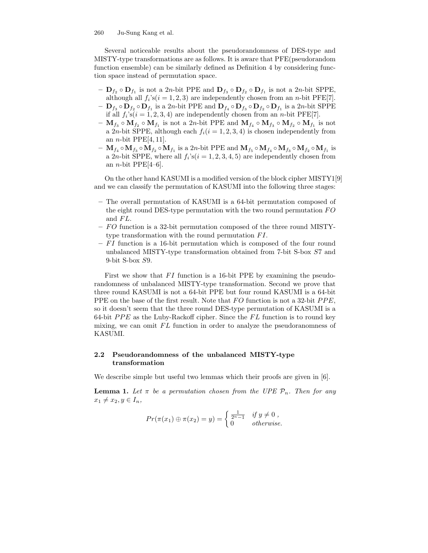Several noticeable results about the pseudorandomness of DES-type and MISTY-type transformations are as follows. It is aware that PFE(pseudorandom function ensemble) can be similarly defined as Definition 4 by considering function space instead of permutation space.

- $\mathbf{D}_{f_2} \circ \mathbf{D}_{f_1}$  is not a 2n-bit PPE and  $\mathbf{D}_{f_3} \circ \mathbf{D}_{f_2} \circ \mathbf{D}_{f_1}$  is not a 2n-bit SPPE, although all  $f_i$ 's $(i = 1, 2, 3)$  are independently chosen from an *n*-bit PFE[7].  $\mathbf{D}_{f_3} \circ \mathbf{D}_{f_2} \circ \mathbf{D}_{f_1}$  is a 2n-bit PPE and  $\mathbf{D}_{f_4} \circ \mathbf{D}_{f_3} \circ \mathbf{D}_{f_2} \circ \mathbf{D}_{f_1}$  is a 2n-bit SPPE
- if all  $f_i$ 's $(i = 1, 2, 3, 4)$  are independently chosen from an *n*-bit PFE[7].
- $\mathbf{M}_{f_3} \circ \mathbf{M}_{f_2} \circ \mathbf{M}_{f_1}$  is not a 2*n*-bit PPE and  $\mathbf{M}_{f_4} \circ \mathbf{M}_{f_3} \circ \mathbf{M}_{f_2} \circ \mathbf{M}_{f_1}$  is not a 2*n*-bit SPPE, although each  $f_i(i = 1, 2, 3, 4)$  is chosen independently from an *n*-bit PPE[4, 11].
- $\,\, \mathbf{M}_{f_4}\circ \mathbf{M}_{f_3}\circ \mathbf{M}_{f_2}\circ \mathbf{M}_{f_1} \ \text{is a } 2n\text{-bit PPE and } \mathbf{M}_{f_5}\circ \mathbf{M}_{f_4}\circ \mathbf{M}_{f_3}\circ \mathbf{M}_{f_2}\circ \mathbf{M}_{f_1} \ \text{is }$ a 2*n*-bit SPPE, where all  $f_i$ 's $(i = 1, 2, 3, 4, 5)$  are independently chosen from an *n*-bit PPE[4–6].

On the other hand KASUMI is a modified version of the block cipher MISTY1[9] and we can classify the permutation of KASUMI into the following three stages:

- The overall permutation of KASUMI is a 64-bit permutation composed of the eight round DES-type permutation with the two round permutation FO and FL.
- FO function is a 32-bit permutation composed of the three round MISTYtype transformation with the round permutation FI.
- FI function is a 16-bit permutation which is composed of the four round unbalanced MISTY-type transformation obtained from 7-bit S-box S7 and 9-bit S-box S9.

First we show that FI function is a 16-bit PPE by examining the pseudorandomness of unbalanced MISTY-type transformation. Second we prove that three round KASUMI is not a 64-bit PPE but four round KASUMI is a 64-bit PPE on the base of the first result. Note that FO function is not a 32-bit PPE, so it doesn't seem that the three round DES-type permutation of KASUMI is a 64-bit  $PPE$  as the Luby-Rackoff cipher. Since the  $FL$  function is to round key mixing, we can omit FL function in order to analyze the pseudoranomness of KASUMI.

## 2.2 Pseudorandomness of the unbalanced MISTY-type transformation

We describe simple but useful two lemmas which their proofs are given in [6].

**Lemma 1.** Let  $\pi$  be a permutation chosen from the UPE  $\mathcal{P}_n$ . Then for any  $x_1 \neq x_2, y \in I_n$ ,

$$
Pr(\pi(x_1) \oplus \pi(x_2) = y) = \begin{cases} \frac{1}{2^{n}-1} & \text{if } y \neq 0, \\ 0 & \text{otherwise.} \end{cases}
$$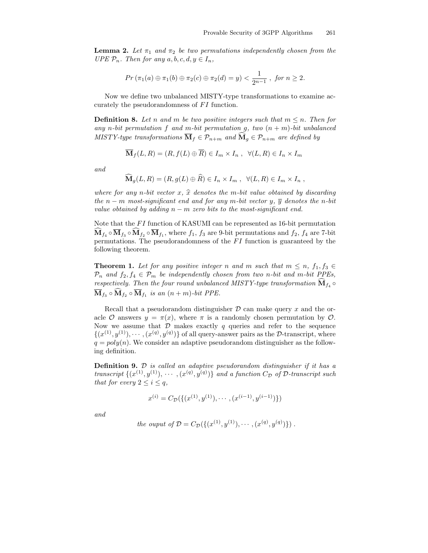**Lemma 2.** Let  $\pi_1$  and  $\pi_2$  be two permutations independently chosen from the UPE  $P_n$ . Then for any  $a, b, c, d, y \in I_n$ ,

$$
Pr (\pi_1(a) \oplus \pi_1(b) \oplus \pi_2(c) \oplus \pi_2(d) = y) < \frac{1}{2^{n-1}}, \text{ for } n \geq 2.
$$

Now we define two unbalanced MISTY-type transformations to examine accurately the pseudorandomness of FI function.

**Definition 8.** Let n and m be two positive integers such that  $m \leq n$ . Then for any n-bit permutation f and m-bit permutation g, two  $(n + m)$ -bit unbalanced MISTY-type transformations  $\overline{\mathbf{M}}_f \in \mathcal{P}_{n+m}$  and  $\mathbf{M}_g \in \mathcal{P}_{n+m}$  are defined by

$$
\overline{\mathbf{M}}_f(L, R) = (R, f(L) \oplus \overline{R}) \in I_m \times I_n , \ \ \forall (L, R) \in I_n \times I_m
$$

and

$$
\mathbf{M}_g(L, R) = (R, g(L) \oplus R) \in I_n \times I_m , \ \ \forall (L, R) \in I_m \times I_n ,
$$

where for any n-bit vector x,  $\hat{x}$  denotes the m-bit value obtained by discarding the n − m most-significant end and for any m-bit vector y,  $\overline{y}$  denotes the n-bit value obtained by adding  $n - m$  zero bits to the most-significant end.

Note that the FI function of KASUMI can be represented as 16-bit permutation  $\mathbf{M}_{f_4} \circ \mathbf{M}_{f_3} \circ \mathbf{M}_{f_2} \circ \mathbf{M}_{f_1}$ , where  $f_1$ ,  $f_3$  are 9-bit permutations and  $f_2$ ,  $f_4$  are 7-bit permutations. The pseudorandomness of the FI function is guaranteed by the following theorem.

**Theorem 1.** Let for any positive integer n and m such that  $m \leq n$ ,  $f_1, f_3 \in$  $\mathcal{P}_n$  and  $f_2, f_4 \in \mathcal{P}_m$  be independently chosen from two n-bit and m-bit PPEs, respectively. Then the four round unbalanced MISTY-type transformation  $\mathbf{M}_{f_4}$   $\circ$  $\mathbf{M}_{f_3} \circ \mathbf{M}_{f_2} \circ \mathbf{M}_{f_1}$  is an  $(n+m)$ -bit PPE.

Recall that a pseudorandom distinguisher  $\mathcal D$  can make query x and the oracle  $\mathcal O$  answers  $y = \pi(x)$ , where  $\pi$  is a randomly chosen permutation by  $\mathcal O$ . Now we assume that  $D$  makes exactly  $q$  queries and refer to the sequence  $\{(x^{(1)}, y^{(1)}), \cdots, (x^{(q)}, y^{(q)})\}$  of all query-answer pairs as the D-transcript, where  $q = poly(n)$ . We consider an adaptive pseudorandom distinguisher as the following definition.

Definition 9. D is called an adaptive pseudorandom distinguisher if it has a transcript  $\{(x^{(1)}, y^{(1)}), \cdots, (x^{(q)}, y^{(q)})\}$  and a function  $C_{\mathcal{D}}$  of  $\mathcal{D}$ -transcript such that for every  $2 \leq i \leq q$ ,

$$
x^{(i)} = C_{\mathcal{D}}(\{(x^{(1)}, y^{(1)}), \cdots, (x^{(i-1)}, y^{(i-1)})\})
$$

and

the *output* of 
$$
\mathcal{D} = C_{\mathcal{D}}(\{(x^{(1)}, y^{(1)}), \cdots, (x^{(q)}, y^{(q)})\})
$$
.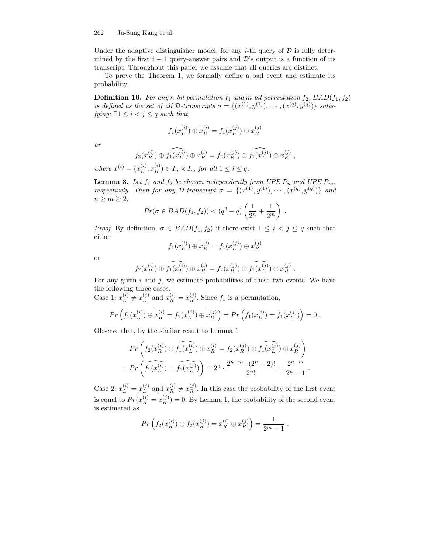Under the adaptive distinguisher model, for any *i*-th query of  $D$  is fully determined by the first  $i - 1$  query-answer pairs and D's output is a function of its transcript. Throughout this paper we assume that all queries are distinct.

To prove the Theorem 1, we formally define a bad event and estimate its probability.

**Definition 10.** For any n-bit permutation  $f_1$  and m-bit permutation  $f_2$ ,  $BAD(f_1, f_2)$ is defined as the set of all D-transcripts  $\sigma = \{(x^{(1)}, y^{(1)}), \cdots, (x^{(q)}, y^{(q)})\}$  satisfying:  $\exists 1 \leq i < j \leq q$  such that

$$
f_1(x_L^{(i)}) \oplus \overline{x_R^{(i)}} = f_1(x_L^{(j)}) \oplus \overline{x_R^{(j)}}
$$

or

$$
f_2(x_R^{(i)}) \oplus \widehat{f_1(x_L^{(i)})} \oplus x_R^{(i)} = f_2(x_R^{(j)}) \oplus \widehat{f_1(x_L^{(j)})} \oplus x_R^{(j)},
$$

where  $x^{(i)} = (x_L^{(i)}$  $(L^{(i)}, x_R^{(i)}) \in I_n \times I_m$  for all  $1 \leq i \leq q$ .

**Lemma 3.** Let  $f_1$  and  $f_2$  be chosen independently from UPE  $\mathcal{P}_n$  and UPE  $\mathcal{P}_m$ , respectively. Then for any D-transcript  $\sigma = \{(x^{(1)}, y^{(1)}), \cdots, (x^{(q)}, y^{(q)})\}$  and  $n \geq m \geq 2$ ,

$$
Pr(\sigma \in BAD(f_1, f_2)) < (q^2 - q) \left(\frac{1}{2^n} + \frac{1}{2^m}\right).
$$

*Proof.* By definition,  $\sigma \in BAD(f_1, f_2)$  if there exist  $1 \leq i \leq j \leq q$  such that either

$$
f_1(x_L^{(i)}) \oplus \overline{x_R^{(i)}} = f_1(x_L^{(j)}) \oplus \overline{x_R^{(j)}}
$$

or

$$
f_2(x_R^{(i)}) \oplus \widehat{f_1(x_L^{(i)})} \oplus x_R^{(i)} = f_2(x_R^{(j)}) \oplus \widehat{f_1(x_L^{(j)})} \oplus x_R^{(j)}.
$$

For any given  $i$  and  $j$ , we estimate probabilities of these two events. We have the following three cases.

Case 1:  $x_L^{(i)}$  $L^{(i)} \neq x_L^{(j)}$  $L_L^{(j)}$  and  $x_R^{(i)} = x_R^{(j)}$ . Since  $f_1$  is a permutation,

$$
Pr\left(f_1(x_L^{(i)}) \oplus \overline{x_R^{(i)}} = f_1(x_L^{(j)}) \oplus \overline{x_R^{(j)}}\right) = Pr\left(f_1(x_L^{(i)}) = f_1(x_L^{(j)})\right) = 0.
$$

Observe that, by the similar result to Lemma 1

$$
Pr\left(f_2(x_R^{(i)}) \oplus \widehat{f_1(x_L^{(i)})} \oplus x_R^{(i)} = f_2(x_R^{(j)}) \oplus \widehat{f_1(x_L^{(j)})} \oplus x_R^{(j)}\right)
$$
  
= 
$$
Pr\left(\widehat{f_1(x_L^{(i)})} = \widehat{f_1(x_L^{(j)})}\right) = 2^n \cdot \frac{2^{n-m} \cdot (2^n - 2)!}{2^{n}!} = \frac{2^{n-m}}{2^n - 1}.
$$

<u>Case 2</u>:  $x_L^{(i)} = x_L^{(j)}$  $L^{(j)}$  and  $x_R^{(i)} \neq x_R^{(j)}$ . In this case the probability of the first event is equal to  $Pr(x_R^{(i)} = x_R^{(j)}) = 0$ . By Lemma 1, the probability of the second event is estimated as

$$
Pr\left(f_2(x_R^{(i)}) \oplus f_2(x_R^{(j)}) = x_R^{(i)} \oplus x_R^{(j)}\right) = \frac{1}{2^m - 1}.
$$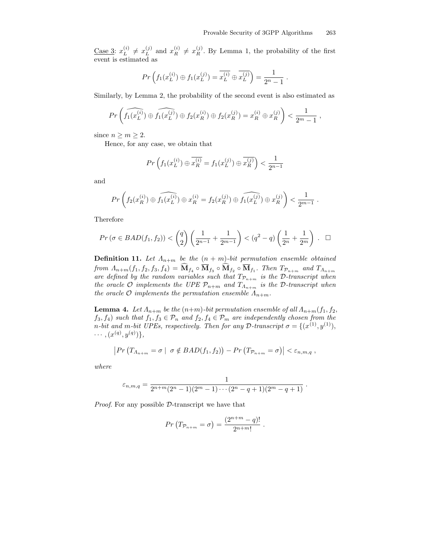Case 3:  $x_L^{(i)}$  $L^{(i)} \neq x_L^{(j)}$  $L_L^{(j)}$  and  $x_R^{(i)} \neq x_R^{(j)}$ . By Lemma 1, the probability of the first event is estimated as

$$
Pr\left(f_1(x_L^{(i)}) \oplus f_1(x_L^{(j)}) = \overline{x_L^{(i)}} \oplus \overline{x_L^{(j)}}\right) = \frac{1}{2^n - 1}.
$$

Similarly, by Lemma 2, the probability of the second event is also estimated as

$$
Pr\left(\widehat{f_1(x_L^{(i)})} \oplus \widehat{f_1(x_L^{(j)})} \oplus f_2(x_R^{(i)}) \oplus f_2(x_R^{(j)}) = x_R^{(i)} \oplus x_R^{(j)}\right) < \frac{1}{2^m - 1},
$$

since  $n \geq m \geq 2$ .

Hence, for any case, we obtain that

$$
Pr\left(f_1(x_L^{(i)}) \oplus \overline{x_R^{(i)}} = f_1(x_L^{(j)}) \oplus \overline{x_R^{(j)}}\right) < \frac{1}{2^{n-1}}
$$

and

$$
Pr\left(f_2(x_R^{(i)}) \oplus \widehat{f_1(x_L^{(i)})} \oplus x_R^{(i)} = f_2(x_R^{(j)}) \oplus \widehat{f_1(x_L^{(j)})} \oplus x_R^{(j)}\right) < \frac{1}{2^{m-1}}.
$$

Therefore

$$
Pr(\sigma \in BAD(f_1, f_2)) < {q \choose 2} \left(\frac{1}{2^{n-1}} + \frac{1}{2^{m-1}}\right) < (q^2 - q) \left(\frac{1}{2^n} + \frac{1}{2^m}\right) . \quad \Box
$$

**Definition 11.** Let  $\Lambda_{n+m}$  be the  $(n+m)$ -bit permutation ensemble obtained from  $\Lambda_{n+m}(f_1, f_2, f_3, f_4) = \mathbf{M}_{f_4} \circ \mathbf{M}_{f_3} \circ \mathbf{M}_{f_2} \circ \mathbf{M}_{f_1}$ . Then  $T_{\mathcal{P}_{n+m}}$  and  $T_{\Lambda_{n+m}}$ are defined by the random variables such that  $T_{\mathcal{P}_{n+m}}$  is the D-transcript when the oracle O implements the UPE  $\mathcal{P}_{n+m}$  and  $T_{\Lambda_{n+m}}$  is the D-transcript when the oracle  $\mathcal O$  implements the permutation ensemble  $\Lambda_{n+m}$ .

**Lemma 4.** Let  $\Lambda_{n+m}$  be the  $(n+m)$ -bit permutation ensemble of all  $\Lambda_{n+m}(f_1, f_2, f_3)$  $f_3, f_4$ ) such that  $f_1, f_3 \in \mathcal{P}_n$  and  $f_2, f_4 \in \mathcal{P}_m$  are independently chosen from the n-bit and m-bit UPEs, respectively. Then for any D-transcript  $\sigma = \{ (x^{(1)}, y^{(1)}),$  $\cdots, (x^{(q)}, y^{(q)})\},$ 

$$
\left| Pr\left(T_{\Lambda_{n+m}} = \sigma \mid \sigma \notin BAD(f_1, f_2)\right) - Pr\left(T_{\mathcal{P}_{n+m}} = \sigma\right) \right| < \varepsilon_{n,m,q},
$$

where

$$
\varepsilon_{n,m,q} = \frac{1}{2^{n+m}(2^n-1)(2^m-1)\cdots(2^n-q+1)(2^m-q+1)}.
$$

Proof. For any possible D-transcript we have that

$$
Pr(T_{\mathcal{P}_{n+m}} = \sigma) = \frac{(2^{n+m} - q)!}{2^{n+m!}}.
$$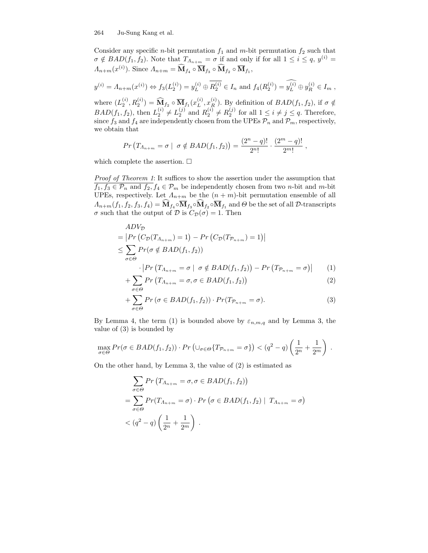Consider any specific *n*-bit permutation  $f_1$  and *m*-bit permutation  $f_2$  such that  $\sigma \notin BAD(f_1, f_2)$ . Note that  $T_{A_{n+m}} = \sigma$  if and only if for all  $1 \leq i \leq q$ ,  $y^{(i)} =$  $\Lambda_{n+m}(x^{(i)})$ . Since  $\Lambda_{n+m} = \widehat{\mathbf{M}}_{f_4} \circ \overline{\mathbf{M}}_{f_3} \circ \widehat{\mathbf{M}}_{f_2} \circ \overline{\mathbf{M}}_{f_1}$ ,

$$
y^{(i)} = \Lambda_{n+m}(x^{(i)}) \Leftrightarrow f_3(L_2^{(i)}) = y_L^{(i)} \oplus \overline{R_2^{(i)}} \in I_n
$$
 and  $f_4(R_2^{(i)}) = \widehat{y_L^{(i)}} \oplus y_R^{(i)} \in I_m$ ,

where  $(L_2^{(i)}, R_2^{(i)}) = \widehat{M}_{f_2} \circ \overline{M}_{f_1}(x_L^{(i)})$  $L^{(i)}$ ,  $x_R^{(i)}$ ). By definition of  $BAD(f_1, f_2)$ , if  $\sigma \notin$  $BAD(f_1, f_2)$ , then  $L_2^{(i)} \neq L_2^{(j)}$  and  $R_2^{(i)} \neq R_2^{(j)}$  for all  $1 \leq i \neq j \leq q$ . Therefore, since  $f_3$  and  $f_4$  are independently chosen from the UPEs  $\mathcal{P}_n$  and  $\mathcal{P}_m$ , respectively, we obtain that

$$
Pr(T_{\Lambda_{n+m}} = \sigma \mid \sigma \notin BAD(f_1, f_2)) = \frac{(2^n - q)!}{2^{n}!} \cdot \frac{(2^m - q)!}{2^{m}!},
$$

which complete the assertion.  $\square$ 

Proof of Theorem 1: It suffices to show the assertion under the assumption that  $f_1, f_3 \in \mathcal{P}_n$  and  $f_2, f_4 \in \mathcal{P}_m$  be independently chosen from two *n*-bit and *m*-bit UPEs, respectively. Let  $\Lambda_{n+m}$  be the  $(n+m)$ -bit permutation ensemble of all  $A_{n+m}(f_1, f_2, f_3, f_4) = \mathbf{M}_{f_4} \circ \mathbf{M}_{f_3} \circ \mathbf{M}_{f_2} \circ \mathbf{M}_{f_1}$  and  $\Theta$  be the set of all  $\mathcal{D}$ -transcripts σ such that the output of D is  $C_{\mathcal{D}}(\sigma) = 1$ . Then

$$
ADV_{\mathcal{D}}
$$
  
=  $|Pr(C_{\mathcal{D}}(T_{\Lambda_{n+m}}) = 1) - Pr(C_{\mathcal{D}}(T_{\mathcal{P}_{n+m}}) = 1)|$   

$$
\leq \sum_{\sigma \in \Theta} Pr(\sigma \notin BAD(f_1, f_2))
$$

$$
\cdot |Pr(T_{\Lambda_{n+m}} = \sigma | \sigma \notin BAD(f_1, f_2)) - Pr(T_{\mathcal{P}_{n+m}} = \sigma)| \qquad (1)
$$

$$
+\sum_{\sigma\in\Theta}Pr\left(T_{\Lambda_{n+m}}=\sigma,\sigma\in BAD(f_1,f_2)\right) \tag{2}
$$

$$
+\sum_{\sigma\in\Theta}Pr\left(\sigma\in BAD(f_1,f_2)\right)\cdot Pr(T_{\mathcal{P}_{n+m}}=\sigma).
$$
\n(3)

By Lemma 4, the term (1) is bounded above by  $\varepsilon_{n,m,q}$  and by Lemma 3, the value of (3) is bounded by

$$
\max_{\sigma \in \Theta} Pr(\sigma \in BAD(f_1, f_2)) \cdot Pr\left(\cup_{\sigma \in \Theta} \{T_{\mathcal{P}_{n+m}} = \sigma\}\right) < (q^2 - q) \left(\frac{1}{2^n} + \frac{1}{2^m}\right) \, .
$$

On the other hand, by Lemma 3, the value of (2) is estimated as

$$
\sum_{\sigma \in \Theta} Pr(T_{\Lambda_{n+m}} = \sigma, \sigma \in BAD(f_1, f_2))
$$
  
= 
$$
\sum_{\sigma \in \Theta} Pr(T_{\Lambda_{n+m}} = \sigma) \cdot Pr(\sigma \in BAD(f_1, f_2) | T_{\Lambda_{n+m}} = \sigma)
$$
  
< 
$$
< (q^2 - q) \left(\frac{1}{2^n} + \frac{1}{2^m}\right).
$$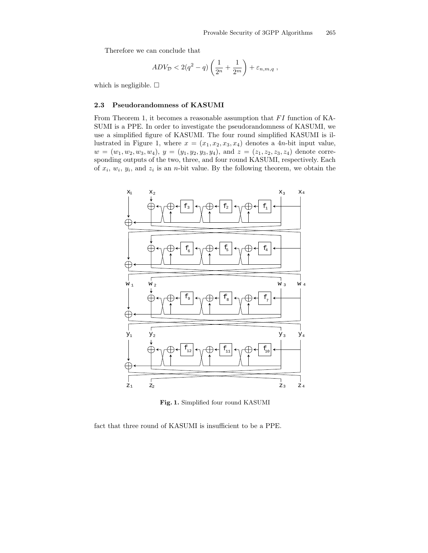Therefore we can conclude that

$$
ADV_D < 2(q^2 - q) \left(\frac{1}{2^n} + \frac{1}{2^m}\right) + \varepsilon_{n,m,q} ,
$$

which is negligible.  $\square$ 

### 2.3 Pseudorandomness of KASUMI

From Theorem 1, it becomes a reasonable assumption that FI function of KA-SUMI is a PPE. In order to investigate the pseudorandomness of KASUMI, we use a simplified figure of KASUMI. The four round simplified KASUMI is illustrated in Figure 1, where  $x = (x_1, x_2, x_3, x_4)$  denotes a 4*n*-bit input value,  $w = (w_1, w_2, w_3, w_4), y = (y_1, y_2, y_3, y_4), \text{ and } z = (z_1, z_2, z_3, z_4) \text{ denote corresponding to } z_1, z_2, z_3, z_4$ sponding outputs of the two, three, and four round KASUMI, respectively. Each of  $x_i$ ,  $w_i$ ,  $y_i$ , and  $z_i$  is an *n*-bit value. By the following theorem, we obtain the



Fig. 1. Simplified four round KASUMI

fact that three round of KASUMI is insufficient to be a PPE.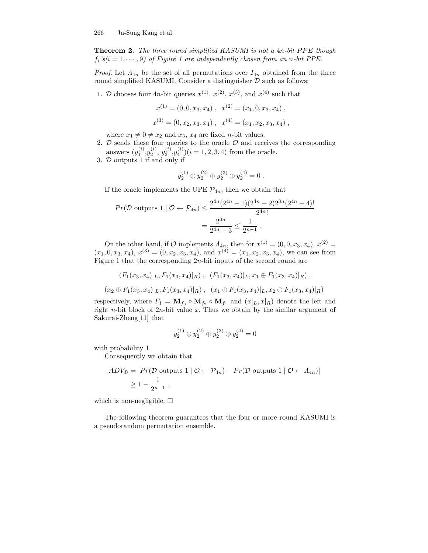Theorem 2. The three round simplified KASUMI is not a 4n-bit PPE though  $f_i$ 's $(i = 1, \dots, 9)$  of Figure 1 are independently chosen from an n-bit PPE.

*Proof.* Let  $\Lambda_{4n}$  be the set of all permutations over  $I_{4n}$  obtained from the three round simplified KASUMI. Consider a distinguisher  $D$  such as follows:

1. D chooses four 4*n*-bit queries  $x^{(1)}$ ,  $x^{(2)}$ ,  $x^{(3)}$ , and  $x^{(4)}$  such that

$$
x^{(1)} = (0, 0, x_3, x_4), \quad x^{(2)} = (x_1, 0, x_3, x_4),
$$
  

$$
x^{(3)} = (0, x_2, x_3, x_4), \quad x^{(4)} = (x_1, x_2, x_3, x_4),
$$

where  $x_1 \neq 0 \neq x_2$  and  $x_3$ ,  $x_4$  are fixed *n*-bit values.

- 2.  $D$  sends these four queries to the oracle  $O$  and receives the corresponding answers  $(y_1^{(i)}, y_2^{(i)}, y_3^{(i)}, y_4^{(i)})$  $(i = 1, 2, 3, 4)$  from the oracle.
- 3. D outputs 1 if and only if

$$
y_2^{(1)} \oplus y_2^{(2)} \oplus y_2^{(3)} \oplus y_2^{(4)} = 0.
$$

If the oracle implements the UPE  $\mathcal{P}_{4n}$ , then we obtain that

$$
Pr(\mathcal{D} \text{ outputs } 1 \mid \mathcal{O} \leftarrow \mathcal{P}_{4n}) \le \frac{2^{4n}(2^{4n} - 1)(2^{4n} - 2)2^{3n}(2^{4n} - 4)!}{2^{4n}!}
$$

$$
= \frac{2^{3n}}{2^{4n} - 3} \le \frac{1}{2^{n-1}}.
$$

On the other hand, if  $\mathcal O$  implements  $\Lambda_{4n}$ , then for  $x^{(1)} = (0,0,x_3,x_4), x^{(2)} =$  $(x_1, 0, x_3, x_4), x^{(3)} = (0, x_2, x_3, x_4), \text{ and } x^{(4)} = (x_1, x_2, x_3, x_4), \text{ we can see from}$ Figure 1 that the corresponding  $2n$ -bit inputs of the second round are

$$
(F_1(x_3, x_4)|_L, F_1(x_3, x_4)|_R), (F_1(x_3, x_4)|_L, x_1 \oplus F_1(x_3, x_4)|_R),
$$
  

$$
(x_2 \oplus F_1(x_3, x_4)|_L, F_1(x_3, x_4)|_R), (x_1 \oplus F_1(x_3, x_4)|_L, x_2 \oplus F_1(x_3, x_4)|_R)
$$

respectively, where  $F_1 = \mathbf{M}_{f_3} \circ \mathbf{M}_{f_2} \circ \mathbf{M}_{f_1}$  and  $(x|_L, x|_R)$  denote the left and right *n*-bit block of  $2n$ -bit value x. Thus we obtain by the similar argument of Sakurai-Zheng[11] that

$$
y_2^{(1)} \oplus y_2^{(2)} \oplus y_2^{(3)} \oplus y_2^{(4)} = 0
$$

with probability 1.

Consequently we obtain that

$$
ADV_{\mathcal{D}} = |Pr(\mathcal{D} \text{ outputs } 1 | \mathcal{O} \leftarrow \mathcal{P}_{4n}) - Pr(\mathcal{D} \text{ outputs } 1 | \mathcal{O} \leftarrow \Lambda_{4n})|
$$
  
\n
$$
\geq 1 - \frac{1}{2^{n-1}},
$$

which is non-negligible.  $\Box$ 

The following theorem guarantees that the four or more round KASUMI is a pseudorandom permutation ensemble.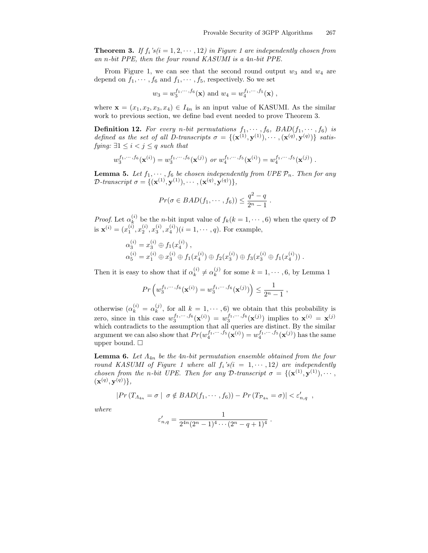**Theorem 3.** If  $f_i$ 's(i = 1, 2,  $\cdots$ , 12) in Figure 1 are independently chosen from an n-bit PPE, then the four round KASUMI is a 4n-bit PPE.

From Figure 1, we can see that the second round output  $w_3$  and  $w_4$  are depend on  $f_1, \dots, f_6$  and  $f_1, \dots, f_5$ , respectively. So we set

$$
w_3 = w_3^{f_1, \dots, f_6}(\mathbf{x})
$$
 and  $w_4 = w_4^{f_1, \dots, f_5}(\mathbf{x})$ ,

where  $\mathbf{x} = (x_1, x_2, x_3, x_4) \in I_{4n}$  is an input value of KASUMI. As the similar work to previous section, we define bad event needed to prove Theorem 3.

**Definition 12.** For every n-bit permutations  $f_1, \dots, f_6$ ,  $BAD(f_1, \dots, f_6)$  is defined as the set of all D-transcripts  $\sigma = \{(\mathbf{x}^{(1)}, \mathbf{y}^{(1)}), \cdots, (\mathbf{x}^{(q)}, \mathbf{y}^{(q)})\}$  satisfying:  $\exists 1 \leq i < j \leq q$  such that

$$
w_3^{f_1,\dots,f_6}(\mathbf{x}^{(i)}) = w_3^{f_1,\dots,f_6}(\mathbf{x}^{(j)}) \text{ or } w_4^{f_1,\dots,f_5}(\mathbf{x}^{(i)}) = w_4^{f_1,\dots,f_5}(\mathbf{x}^{(j)}) .
$$

**Lemma 5.** Let  $f_1, \dots, f_6$  be chosen independently from UPE  $\mathcal{P}_n$ . Then for any D-transcript  $\sigma = \{(\mathbf{x}^{(1)}, \mathbf{y}^{(1)}), \cdots, (\mathbf{x}^{(q)}, \mathbf{y}^{(q)})\},\$ 

$$
Pr(\sigma \in BAD(f_1, \cdots, f_6)) \leq \frac{q^2 - q}{2^n - 1}.
$$

*Proof.* Let  $\alpha_k^{(i)}$  $\kappa^{(i)}_k$  be the *n*-bit input value of  $f_k(k = 1, \dots, 6)$  when the query of  $D$ is  $\mathbf{x}^{(i)} = (x_1^{(i)}, x_2^{(i)}, x_3^{(i)}, x_4^{(i)})(i = 1, \dots, q)$ . For example,

$$
\alpha_3^{(i)} = x_3^{(i)} \oplus f_1(x_4^{(i)}), \n\alpha_5^{(i)} = x_1^{(i)} \oplus x_3^{(i)} \oplus f_1(x_4^{(i)}) \oplus f_2(x_3^{(i)}) \oplus f_3(x_3^{(i)} \oplus f_1(x_4^{(i)})).
$$

Then it is easy to show that if  $\alpha_k^{(i)}$  $\alpha_k^{(i)} \neq \alpha_k^{(j)}$  $k = 1, \cdots, 6$ , by Lemma 1

$$
Pr\left(w_3^{f_1,\dots,f_6}(\mathbf{x}^{(i)})=w_3^{f_1,\dots,f_6}(\mathbf{x}^{(j)})\right)\leq \frac{1}{2^n-1},
$$

otherwise  $(\alpha_k^{(i)} = \alpha_k^{(j)})$  $_k^{(j)}$ , for all  $k = 1, \dots, 6$  we obtain that this probability is zero, since in this case  $w_3^{f_1,\dots,f_6}(\mathbf{x}^{(i)}) = w_3^{f_1,\dots,f_6}(\mathbf{x}^{(j)})$  implies to  $\mathbf{x}^{(i)} = \mathbf{x}^{(j)}$ which contradicts to the assumption that all queries are distinct. By the similar argument we can also show that  $Pr(w_4^{f_1,\dots,f_5}(\mathbf{x}^{(i)}) = w_4^{f_1,\dots,f_5}(\mathbf{x}^{(j)})$  has the same upper bound.  $\square$ 

**Lemma 6.** Let  $A_{4n}$  be the 4n-bit permutation ensemble obtained from the four round KASUMI of Figure 1 where all  $f_i$ 's $(i = 1, \dots, 12)$  are independently chosen from the n-bit UPE. Then for any D-transcript  $\sigma = \{(\mathbf{x}^{(1)}, \mathbf{y}^{(1)}), \cdots, \mathbf{y}^{(l)}\}$  $(\mathbf{x}^{(q)}, \mathbf{y}^{(q)})\},$ 

$$
|Pr(T_{\Lambda_{4n}} = \sigma \mid \sigma \notin BAD(f_1, \cdots, f_6)) - Pr(T_{\mathcal{P}_{4n}} = \sigma)| < \varepsilon'_{n,q},
$$

where

$$
\varepsilon'_{n,q} = \frac{1}{2^{4n}(2^n-1)^4 \cdots (2^n-q+1)^4} \ .
$$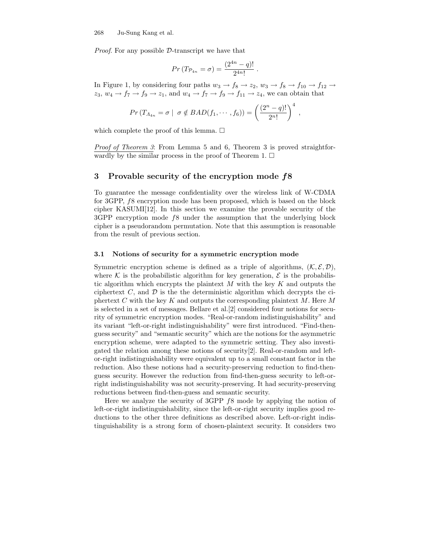Proof. For any possible D-transcript we have that

$$
Pr(T_{\mathcal{P}_{4n}} = \sigma) = \frac{(2^{4n} - q)!}{2^{4n}!}
$$

.

In Figure 1, by considering four paths  $w_3 \to f_8 \to z_2$ ,  $w_3 \to f_8 \to f_{10} \to f_{12} \to$  $z_3, w_4 \rightarrow f_7 \rightarrow f_9 \rightarrow z_1$ , and  $w_4 \rightarrow f_7 \rightarrow f_9 \rightarrow f_{11} \rightarrow z_4$ , we can obtain that

$$
Pr(T_{A_{4n}} = \sigma \mid \sigma \notin BAD(f_1, \cdots, f_6)) = \left(\frac{(2^n - q)!}{2^n!}\right)^4,
$$

which complete the proof of this lemma.  $\Box$ 

Proof of Theorem 3: From Lemma 5 and 6, Theorem 3 is proved straightforwardly by the similar process in the proof of Theorem 1.  $\Box$ 

## 3 Provable security of the encryption mode f8

To guarantee the message confidentiality over the wireless link of W-CDMA for 3GPP, f8 encryption mode has been proposed, which is based on the block cipher KASUMI[12]. In this section we examine the provable security of the 3GPP encryption mode f8 under the assumption that the underlying block cipher is a pseudorandom permutation. Note that this assumption is reasonable from the result of previous section.

#### 3.1 Notions of security for a symmetric encryption mode

Symmetric encryption scheme is defined as a triple of algorithms,  $(K, \mathcal{E}, \mathcal{D})$ , where K is the probabilistic algorithm for key generation,  $\mathcal E$  is the probabilistic algorithm which encrypts the plaintext  $M$  with the key  $K$  and outputs the ciphertext  $C$ , and  $D$  is the the deterministic algorithm which decrypts the ciphertext C with the key K and outputs the corresponding plaintext  $M$ . Here M is selected in a set of messages. Bellare et al.[2] considered four notions for security of symmetric encryption modes. "Real-or-random indistinguishability" and its variant "left-or-right indistinguishability" were first introduced. "Find-thenguess security" and "semantic security" which are the notions for the asymmetric encryption scheme, were adapted to the symmetric setting. They also investigated the relation among these notions of security[2]. Real-or-random and leftor-right indistinguishability were equivalent up to a small constant factor in the reduction. Also these notions had a security-preserving reduction to find-thenguess security. However the reduction from find-then-guess security to left-orright indistinguishability was not security-preserving. It had security-preserving reductions between find-then-guess and semantic security.

Here we analyze the security of 3GPP f8 mode by applying the notion of left-or-right indistinguishability, since the left-or-right security implies good reductions to the other three definitions as described above. Left-or-right indistinguishability is a strong form of chosen-plaintext security. It considers two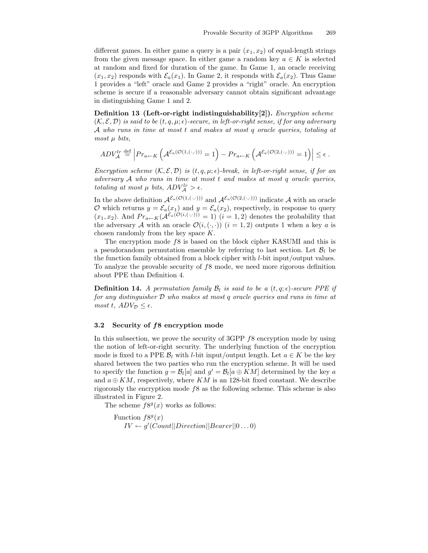different games. In either game a query is a pair  $(x_1, x_2)$  of equal-length strings from the given message space. In either game a random key  $a \in K$  is selected at random and fixed for duration of the game. In Game 1, an oracle receiving  $(x_1, x_2)$  responds with  $\mathcal{E}_a(x_1)$ . In Game 2, it responds with  $\mathcal{E}_a(x_2)$ . Thus Game 1 provides a "left" oracle and Game 2 provides a "right" oracle. An encryption scheme is secure if a reasonable adversary cannot obtain significant advantage in distinguishing Game 1 and 2.

Definition 13 (Left-or-right indistinguishability[2]). *Encryption scheme*  $(\mathcal{K}, \mathcal{E}, \mathcal{D})$  is said to be  $(t, q, \mu; \epsilon)$ -secure, in left-or-right sense, if for any adversary A who runs in time at most t and makes at most q oracle queries, totaling at  $most \mu \ bits$ ,

$$
ADV_{\mathcal{A}}^{lr} \stackrel{\text{def}}{=} \left| Pr_{a \leftarrow K} \left( \mathcal{A}^{\mathcal{E}_a(\mathcal{O}(1, (\cdot,\cdot)))} = 1 \right) - Pr_{a \leftarrow K} \left( \mathcal{A}^{\mathcal{E}_a(\mathcal{O}(2, (\cdot,\cdot)))} = 1 \right) \right| \le \epsilon.
$$

Encryption scheme  $(K, \mathcal{E}, \mathcal{D})$  is  $(t, q, \mu; \epsilon)$ -break, in left-or-right sense, if for an adversary A who runs in time at most t and makes at most q oracle queries, totaling at most  $\mu$  bits,  $ADV_{\mathcal{A}}^{lr} > \epsilon$ .

In the above definition  $\mathcal{A}^{\mathcal{E}_a(\mathcal{O}(1,(\cdot,\cdot)))}$  and  $\mathcal{A}^{\mathcal{E}_a(\mathcal{O}(2,(\cdot,\cdot)))}$  indicate A with an oracle  $\mathcal O$  which returns  $y = \mathcal E_a(x_1)$  and  $y = \mathcal E_a(x_2)$ , respectively, in response to query  $(x_1, x_2)$ . And  $Pr_{a \leftarrow K}(\mathcal{A}^{\mathcal{E}_a(\mathcal{O}(i, (\cdot,\cdot)))} = 1)$   $(i = 1, 2)$  denotes the probability that the adversary A with an oracle  $\mathcal{O}(i, (\cdot, \cdot))$   $(i = 1, 2)$  outputs 1 when a key a is chosen randomly from the key space K.

The encryption mode f8 is based on the block cipher KASUMI and this is a pseudorandom permutation ensemble by referring to last section. Let  $\mathcal{B}_l$  be the function family obtained from a block cipher with l-bit input/output values. To analyze the provable security of f8 mode, we need more rigorous definition about PPE than Definition 4.

**Definition 14.** A permutation family  $\mathcal{B}_l$  is said to be a  $(t, q; \epsilon)$ -secure PPE if for any distinguisher D who makes at most q oracle queries and runs in time at most t,  $ADV_{\mathcal{D}} \leq \epsilon$ .

#### 3.2 Security of f8 encryption mode

In this subsection, we prove the security of  $3GPP f8$  encryption mode by using the notion of left-or-right security. The underlying function of the encryption mode is fixed to a PPE  $\mathcal{B}_l$  with l-bit input/output length. Let  $a \in K$  be the key shared between the two parties who run the encryption scheme. It will be used to specify the function  $g = \mathcal{B}_l[a]$  and  $g' = \mathcal{B}_l[a \oplus KM]$  determined by the key a and  $a \oplus KM$ , respectively, where KM is an 128-bit fixed constant. We describe rigorously the encryption mode f8 as the following scheme. This scheme is also illustrated in Figure 2.

The scheme  $f8<sup>g</sup>(x)$  works as follows:

Function  $f8<sup>g</sup>(x)$  $IV \leftarrow g'(Count || Direction|| Bearer || 0...0)$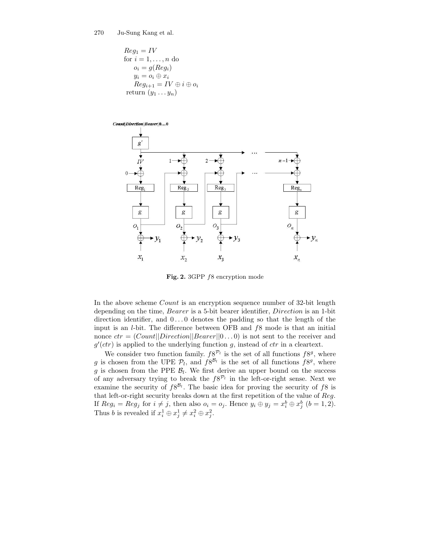$$
Reg_1 = IV
$$
  
for  $i = 1, ..., n$  do  

$$
o_i = g(Reg_i)
$$
  

$$
y_i = o_i \oplus x_i
$$
  

$$
Reg_{i+1} = IV \oplus i \oplus o_i
$$
  
return 
$$
(y_1 ... y_n)
$$



Fig. 2. 3GPP f8 encryption mode

In the above scheme *Count* is an encryption sequence number of 32-bit length depending on the time, Bearer is a 5-bit bearer identifier, Direction is an 1-bit direction identifier, and  $0 \ldots 0$  denotes the padding so that the length of the input is an  $l$ -bit. The difference between OFB and  $f8$  mode is that an initial nonce  $ctr = (Count||Direction||Bearer||0...0)$  is not sent to the receiver and  $g'(ctr)$  is applied to the underlying function g, instead of ctr in a cleartext.

We consider two function family.  $f8^{\mathcal{P}_l}$  is the set of all functions  $f8^g$ , where g is chosen from the UPE  $\mathcal{P}_l$ , and  $f8^{\mathcal{B}_l}$  is the set of all functions  $f8^g$ , where g is chosen from the PPE  $\mathcal{B}_l$ . We first derive an upper bound on the success of any adversary trying to break the  $f8^{\mathcal{P}_l}$  in the left-or-right sense. Next we examine the security of  $f8^{\mathcal{B}_l}$ . The basic idea for proving the security of f8 is that left-or-right security breaks down at the first repetition of the value of Reg. If  $Reg_i = Reg_j$  for  $i \neq j$ , then also  $o_i = o_j$ . Hence  $y_i \oplus y_j = x_i^b \oplus x_j^b$   $(b = 1, 2)$ . Thus *b* is revealed if  $x_i^1 \oplus x_j^1 \neq x_i^2 \oplus x_j^2$ .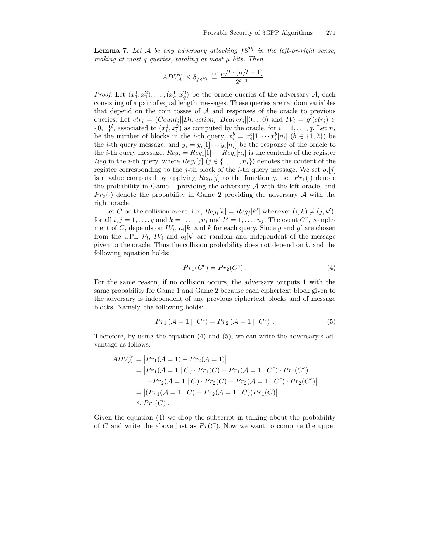**Lemma 7.** Let A be any adversary attacking  $f8^{\mathcal{P}_l}$  in the left-or-right sense, making at most q queries, totaling at most  $\mu$  bits. Then

$$
ADV_{\mathcal{A}}^{lr} \le \delta_{f8} P_l \stackrel{\text{def}}{=} \frac{\mu/l \cdot (\mu/l - 1)}{2^{l+1}}.
$$

*Proof.* Let  $(x_1^1, x_1^2), \ldots, (x_q^1, x_q^2)$  be the oracle queries of the adversary A, each consisting of a pair of equal length messages. These queries are random variables that depend on the coin tosses of  $A$  and responses of the oracle to previous queries. Let  $ctr_i = (Count_i || Direction_i || Bearer_i || 0...0)$  and  $IV_i = g'(ctr_i) \in$  $\{0,1\}^l$ , associated to  $(x_i^1, x_i^2)$  as computed by the oracle, for  $i = 1, \ldots, q$ . Let  $n_i$ be the number of blocks in the *i*-th query,  $x_i^b = x_i^b[1] \cdots x_i^b[n_i]$   $(b \in \{1, 2\})$  be the *i*-th query message, and  $y_i = y_i[1] \cdots y_i[n_i]$  be the response of the oracle to the *i*-th query message.  $Reg_i = Reg_i[1] \cdots Reg_i[n_i]$  is the contents of the register Reg in the *i*-th query, where  $Reg_i[j]$   $(j \in \{1, ..., n_i\})$  denotes the content of the register corresponding to the *j*-th block of the *i*-th query message. We set  $o_i[j]$ is a value computed by applying  $Reg_i[j]$  to the function g. Let  $Pr_1(\cdot)$  denote the probability in Game 1 providing the adversary  $A$  with the left oracle, and  $Pr_2(\cdot)$  denote the probability in Game 2 providing the adversary A with the right oracle.

Let C be the collision event, i.e.,  $Reg_i[k] = Reg_j[k']$  whenever  $(i, k) \neq (j, k')$ , for all  $i, j = 1, \ldots, q$  and  $k = 1, \ldots, n_i$  and  $k' = 1, \ldots, n_j$ . The event  $C^c$ , complement of C, depends on  $IV_i$ ,  $o_i[k]$  and k for each query. Since g and g' are chosen from the UPE  $\mathcal{P}_l$ ,  $IV_i$  and  $o_i[k]$  are random and independent of the message given to the oracle. Thus the collision probability does not depend on  $b$ , and the following equation holds:

$$
Pr_1(C^c) = Pr_2(C^c) . \t\t(4)
$$

For the same reason, if no collision occurs, the adversary outputs 1 with the same probability for Game 1 and Game 2 because each ciphertext block given to the adversary is independent of any previous ciphertext blocks and of message blocks. Namely, the following holds:

$$
Pr_1(\mathcal{A} = 1 | C^c) = Pr_2(\mathcal{A} = 1 | C^c).
$$
 (5)

Therefore, by using the equation (4) and (5), we can write the adversary's advantage as follows:

$$
ADV_A^{lr} = |Pr_1(A = 1) - Pr_2(A = 1)|
$$
  
=  $|Pr_1(A = 1 | C) \cdot Pr_1(C) + Pr_1(A = 1 | C^c) \cdot Pr_1(C^c)$   
 $-Pr_2(A = 1 | C) \cdot Pr_2(C) - Pr_2(A = 1 | C^c) \cdot Pr_2(C^c)|$   
=  $|(Pr_1(A = 1 | C) - Pr_2(A = 1 | C))Pr_1(C)|$   
 $\leq Pr_1(C).$ 

Given the equation (4) we drop the subscript in talking about the probability of C and write the above just as  $Pr(C)$ . Now we want to compute the upper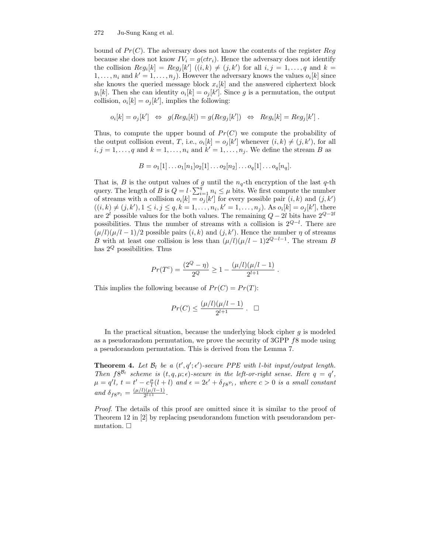bound of  $Pr(C)$ . The adversary does not know the contents of the register  $Reg$ because she does not know  $IV_i = g(ctr_i)$ . Hence the adversary does not identify the collision  $Reg_i[k] = Reg_j[k']$   $((i,k) \neq (j,k')$  for all  $i, j = 1, ..., q$  and  $k =$  $1, \ldots, n_i$  and  $k' = 1, \ldots, n_j$ . However the adversary knows the values  $o_i[k]$  since she knows the queried message block  $x_i[k]$  and the answered ciphertext block  $y_i[k]$ . Then she can identity  $o_i[k] = o_j[k']$ . Since g is a permutation, the output collision,  $o_i[k] = o_j[k']$ , implies the following:

$$
o_i[k] = o_j[k'] \Leftrightarrow g(Reg_i[k]) = g(Reg_j[k']) \Leftrightarrow Reg_i[k] = Reg_j[k'] .
$$

Thus, to compute the upper bound of  $Pr(C)$  we compute the probability of the output collision event, T, i.e.,  $o_i[k] = o_j[k']$  whenever  $(i, k) \neq (j, k')$ , for all  $i, j = 1, \ldots, q$  and  $k = 1, \ldots, n_i$  and  $k' = 1, \ldots, n_j$ . We define the stream B as

$$
B = o_1[1] \dots o_1[n_1] o_2[1] \dots o_2[n_2] \dots o_q[1] \dots o_q[n_q].
$$

That is, B is the output values of g until the  $n_q$ -th encryption of the last q-th query. The length of B is  $Q = l \cdot \sum_{i=1}^{q} n_i \leq \mu$  bits. We first compute the number of streams with a collision  $o_i[k] = o_j[k']$  for every possible pair  $(i, k)$  and  $(j, k')$  $((i,k) \neq (j,k'), 1 \leq i, j \leq q, k = 1, \ldots, n_i, k' = 1, \ldots, n_j)$ . As  $o_i[k] = o_j[k']$ , there are  $2^{l}$  possible values for the both values. The remaining  $Q - 2l$  bits have  $2^{Q-2l}$ possibilities. Thus the number of streams with a collision is  $2^{Q-l}$ . There are  $(\mu/l)(\mu/l - 1)/2$  possible pairs  $(i, k)$  and  $(j, k')$ . Hence the number  $\eta$  of streams B with at least one collision is less than  $(\mu/l)(\mu/l - 1)2^{Q-l-1}$ . The stream B has  $2^Q$  possibilities. Thus

$$
Pr(T^{c}) = \frac{(2^{Q} - \eta)}{2^{Q}} \ge 1 - \frac{(\mu/l)(\mu/l - 1)}{2^{l+1}}.
$$

This implies the following because of  $Pr(C) = Pr(T)$ :

$$
Pr(C) \le \frac{(\mu/l)(\mu/l-1)}{2^{l+1}} \ . \ \ \Box
$$

In the practical situation, because the underlying block cipher  $q$  is modeled as a pseudorandom permutation, we prove the security of 3GPP f8 mode using a pseudorandom permutation. This is derived from the Lemma 7.

**Theorem 4.** Let  $\mathcal{B}_l$  be a  $(t', q'; \epsilon')$ -secure PPE with l-bit input/output length. Then  $f8^{\mathcal{B}_l}$  scheme is  $(t, q, \mu; \epsilon)$ -secure in the left-or-right sense. Here  $q = q'$ ,  $\mu = q'l, t = t' - c \frac{\mu}{l}(l + l)$  and  $\epsilon = 2\epsilon' + \delta_{f8}P_l$ , where  $c > 0$  is a small constant and  $\delta_{f8}P_l = \frac{(\mu/l)(\mu/l-1)}{2^{l+1}}$  $\frac{1}{2^{l+1}}$ .

Proof. The details of this proof are omitted since it is similar to the proof of Theorem 12 in [2] by replacing pseudorandom function with pseudorandom permutation.  $\Box$